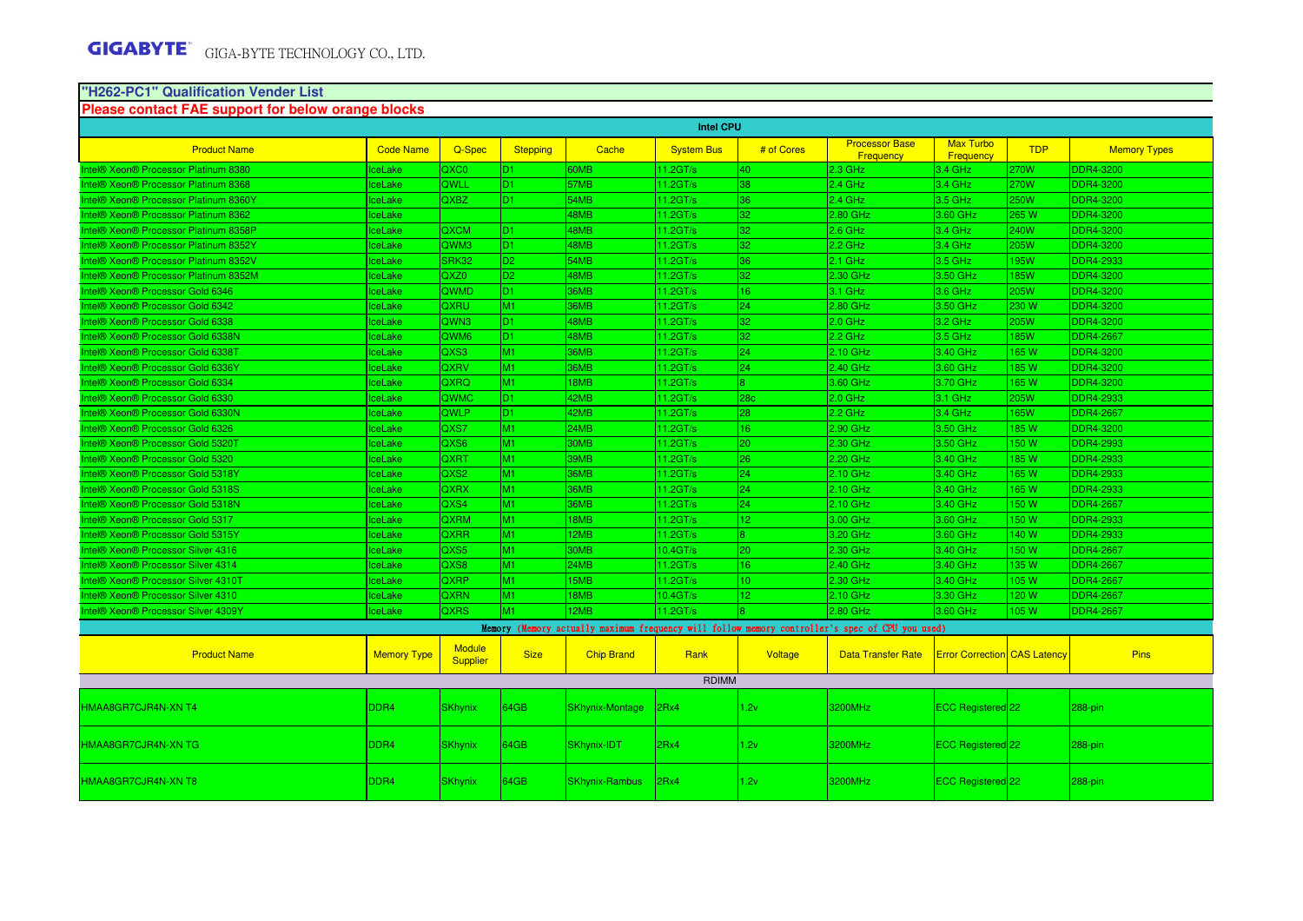# **"H262-PC1" Qualification Vender List Please contact FAE support for below orange blocks**

| <b>Intel CPU</b>                      |                    |                           |                 |                        |                      |                 |                                                                                                 |                                     |             |                     |
|---------------------------------------|--------------------|---------------------------|-----------------|------------------------|----------------------|-----------------|-------------------------------------------------------------------------------------------------|-------------------------------------|-------------|---------------------|
| <b>Product Name</b>                   | <b>Code Name</b>   | Q-Spec                    | <b>Stepping</b> | Cache                  | <b>System Bus</b>    | # of Cores      | <b>Processor Base</b><br>Frequency                                                              | <b>Max Turbo</b><br>Frequency       | <b>TDP</b>  | <b>Memory Types</b> |
| ntel® Xeon® Processor Platinum 8380   | ceLake             | QXC0                      | D <sub>1</sub>  | <b>60MB</b>            | $11.2$ GT/s          | 40              | $2.3$ GHz                                                                                       | $3.4$ GHz                           | 270W        | <b>DDR4-3200</b>    |
| ntel® Xeon® Processor Platinum 8368   | ceLake             | QWLL                      | D <sub>1</sub>  | 57MB                   | 11.2GT/s             | 38              | $2.4$ GHz                                                                                       | $3.4$ GHz                           | 270W        | <b>DDR4-3200</b>    |
| Intel® Xeon® Processor Platinum 8360Y | ceLake             | <b>QXBZ</b>               | ID1.            | 54MB                   | 11.2GT/s             | 36              | $2.4$ GHz                                                                                       | $3.5$ GHz                           | 250W        | <b>DDR4-3200</b>    |
| ntel® Xeon® Processor Platinum 8362   | ceLake             |                           |                 | 48MB                   | 11.2GT/s             | 32              | 2.80 GHz                                                                                        | 3.60 GHz                            | 265 W       | <b>DDR4-3200</b>    |
| ntel® Xeon® Processor Platinum 8358P  | ceLake             | QXCM                      | D <sub>1</sub>  | 48MB                   | 11.2GT/s             | 32              | $2.6$ GHz                                                                                       | 3.4 GHz                             | 240W        | <b>DDR4-3200</b>    |
| Intel® Xeon® Processor Platinum 8352Y | ceLake             | QWM <sub>3</sub>          | D1.             | 48MB                   | $11.2$ GT/s          | 32              | $2.2$ GHz                                                                                       | $3.4$ GHz                           | 205W        | <b>DDR4-3200</b>    |
| ntel® Xeon® Processor Platinum 8352V  | ceLake             | SRK32                     | D <sub>2</sub>  | 54MB                   | 11.2GT/s             | 36              | $2.1$ GHz                                                                                       | 3.5 GHz                             | 95W         | DDR4-2933           |
| ntel® Xeon® Processor Platinum 8352M  | ceLake             | QXZ0                      | D <sub>2</sub>  | 48MB                   | 11.2GT/s             | 32              | 2.30 GHz                                                                                        | 3.50 GHz                            | <b>85W</b>  | <b>DDR4-3200</b>    |
| Intel® Xeon® Processor Gold 6346      | ceLake             | <b>QWMD</b>               | ID1             | 36MB                   | 11.2GT/s             | 16              | 3.1 GHz                                                                                         | $3.6$ GHz                           | 205W        | <b>DDR4-3200</b>    |
| ntel® Xeon® Processor Gold 6342       | ceLake             | QXRU                      | M <sub>1</sub>  | 36MB                   | 11.2GT/s             | 24              | 2.80 GHz                                                                                        | 3.50 GHz                            | 230 W       | <b>DDR4-3200</b>    |
| ntel® Xeon® Processor Gold 6338       | ceLake             | QWN <sub>3</sub>          | ID1.            | 48MB                   | 11.2GT/s             | 32              | $2.0$ GHz                                                                                       | 3.2 GHz                             | <b>205W</b> | <b>DDR4-3200</b>    |
| ntel® Xeon® Processor Gold 6338N      | ceLake             | QWM <sub>6</sub>          | D1.             | 48MB                   | $11.2$ GT/s          | 32              | $2.2$ GHz                                                                                       | 3.5 GHz                             | <b>85W</b>  | <b>DDR4-2667</b>    |
| ntel® Xeon® Processor Gold 63381      | ceLake             | QXS3                      | M1              | 36MB                   | 11.2GT/s             | 24              | 2.10 GHz                                                                                        | 3.40 GHz                            | 165 W       | <b>DDR4-3200</b>    |
| ntel® Xeon® Processor Gold 6336Y      | ceLake             | <b>QXRV</b>               | M <sub>1</sub>  | 36MB                   | 11.2GT/s             | 24              | 2.40 GHz                                                                                        | 3.60 GHz                            | 85 W        | <b>DDR4-3200</b>    |
| ntel® Xeon® Processor Gold 6334       | ceLake             | <b>QXRQ</b>               | M <sub>1</sub>  | 18MB                   | 11.2GT/s             |                 | 3.60 GHz                                                                                        | 3.70 GHz                            | <b>165W</b> | DDR4-3200           |
| ntel® Xeon® Processor Gold 6330       | ceLake             | QWMC                      | D <sub>1</sub>  | 42MB                   | $11.2$ GT/s          | 28c             | $2.0$ GHz                                                                                       | 3.1 GHz                             | <b>205W</b> | DDR4-2933           |
| Intel® Xeon® Processor Gold 6330N     | ceLake             | <b>QWLP</b>               | D <sub>1</sub>  | 42MB                   | 11.2GT/s             | 28              | $2.2$ GHz                                                                                       | 3.4 GHz                             | 65W         | <b>DDR4-2667</b>    |
| ntel® Xeon® Processor Gold 6326       | ceLake             | QXS7                      | M <sub>1</sub>  | 24MB                   | 11.2GT/s             | 16              | 2.90 GHz                                                                                        | 3.50 GHz                            | 85 W        | DDR4-3200           |
| ntel® Xeon® Processor Gold 5320T      | <b>IceLake</b>     | QXS6                      | M <sub>1</sub>  | <b>30MB</b>            | 11.2GT/s             | 20              | 2.30 GHz                                                                                        | 3.50 GHz                            | 150 W       | <b>DDR4-2993</b>    |
| ntel® Xeon® Processor Gold 5320       | ceLake             | <b>QXRT</b>               | M <sub>1</sub>  | 39MB                   | 11.2GT/s             | 26              | 2.20 GHz                                                                                        | 3.40 GHz                            | <b>85W</b>  | <b>DDR4-2933</b>    |
| ntel® Xeon® Processor Gold 5318Y      | ceLake             | QXS2                      | M <sub>1</sub>  | 36MB                   | 11.2GT/s             | 24 <sup>°</sup> | 2.10 GHz                                                                                        | 3.40 GHz                            | 65 W        | DDR4-2933           |
| ntel® Xeon® Processor Gold 5318S      | ceLake             | QXRX                      | M <sub>1</sub>  | 36MB                   | 11.2GT/s             | 24              | 2.10 GHz                                                                                        | 3.40 GHz                            | 165 W       | <b>DDR4-2933</b>    |
| ntel® Xeon® Processor Gold 5318N      | ceLake             | QXS4                      | M <sub>1</sub>  | 36MB                   | 11.2GT/s             | 24 <sup>°</sup> | 2.10 GHz                                                                                        | 3.40 GHz                            | 50 W        | <b>DDR4-2667</b>    |
| ntel® Xeon® Processor Gold 5317       | ceLake             | <b>QXRM</b>               | M <sub>1</sub>  | 18MB                   | 11.2GT/s             | $\overline{2}$  | 3.00 GHz                                                                                        | 3.60 GHz                            | 50 W        | DDR4-2933           |
| Intel® Xeon® Processor Gold 5315Y     | ceLake             | <b>QXRR</b>               | M <sub>1</sub>  | 12MB                   | $11.2$ GT/s          |                 | 3.20 GHz                                                                                        | 3.60 GHz                            | 140 W       | <b>DDR4-2933</b>    |
| ntel® Xeon® Processor Silver 4316     | ceLake             | QXS5                      | M <sub>1</sub>  | 30MB                   | 10.4 <sub>GT/s</sub> | 20              | 2.30 GHz                                                                                        | 3.40 GHz                            | 50 W        | <b>DDR4-2667</b>    |
| ntel® Xeon® Processor Silver 4314     | ceLake             | QXS8                      | M <sub>1</sub>  | 24MB                   | 11.2GT/s             | 16.             | 2.40 GHz                                                                                        | 3.40 GHz                            | 35 W        | <b>DDR4-2667</b>    |
| Intel® Xeon® Processor Silver 4310T   | ceLake             | QXRP                      | M <sub>1</sub>  | 15MB                   | 11.2GT/s             | 10              | 2.30 GHz                                                                                        | 3.40 GHz                            | 105 W       | <b>DDR4-2667</b>    |
| ntel® Xeon® Processor Silver 4310     | ceLake             | QXRN                      | M <sub>1</sub>  | 18MB                   | 10.4GT/s             | $\overline{2}$  | 2.10 GHz                                                                                        | 3.30 GHz                            | 20 W        | <b>DDR4-2667</b>    |
| ntel® Xeon® Processor Silver 4309Y    | ceLake             | <b>QXRS</b>               | M <sub>1</sub>  | 12MB                   | 11.2GT/s             |                 | 2.80 GHz                                                                                        | 3.60 GHz                            | 105W        | <b>DDR4-2667</b>    |
|                                       |                    |                           |                 |                        |                      |                 | Memory (Memory actually maximum frequency will follow memory controller's spec of CPU you used) |                                     |             |                     |
| <b>Product Name</b>                   | <b>Memory Type</b> | <b>Module</b><br>Supplier | <b>Size</b>     | <b>Chip Brand</b>      | Rank                 | Voltage         | <b>Data Transfer Rate</b>                                                                       | <b>Error Correction CAS Latency</b> |             | <b>Pins</b>         |
|                                       |                    |                           |                 |                        | <b>RDIMM</b>         |                 |                                                                                                 |                                     |             |                     |
| HMAA8GR7CJR4N-XN T4                   | DDR4               | <b>SKhynix</b>            | 64GB            | <b>SKhynix-Montage</b> | 2Rx4                 | 1.2v            | 3200MHz                                                                                         | ECC Registered 22                   |             | 288-pin             |
| HMAA8GR7CJR4N-XN TG                   | DDR4               | <b>SKhynix</b>            | 64GB            | <b>SKhynix-IDT</b>     | l2Rx4                | 1.2v            | 3200MHz                                                                                         | <b>ECC Registered</b> 22            |             | 288-pin             |
| HMAA8GR7CJR4N-XN T8                   | DDR4               | <b>SKhynix</b>            | 64GB            | <b>SKhynix-Rambus</b>  | 2Rx4                 | 1.2v            | 3200MHz                                                                                         | ECC Registered 22                   |             | 288-pin             |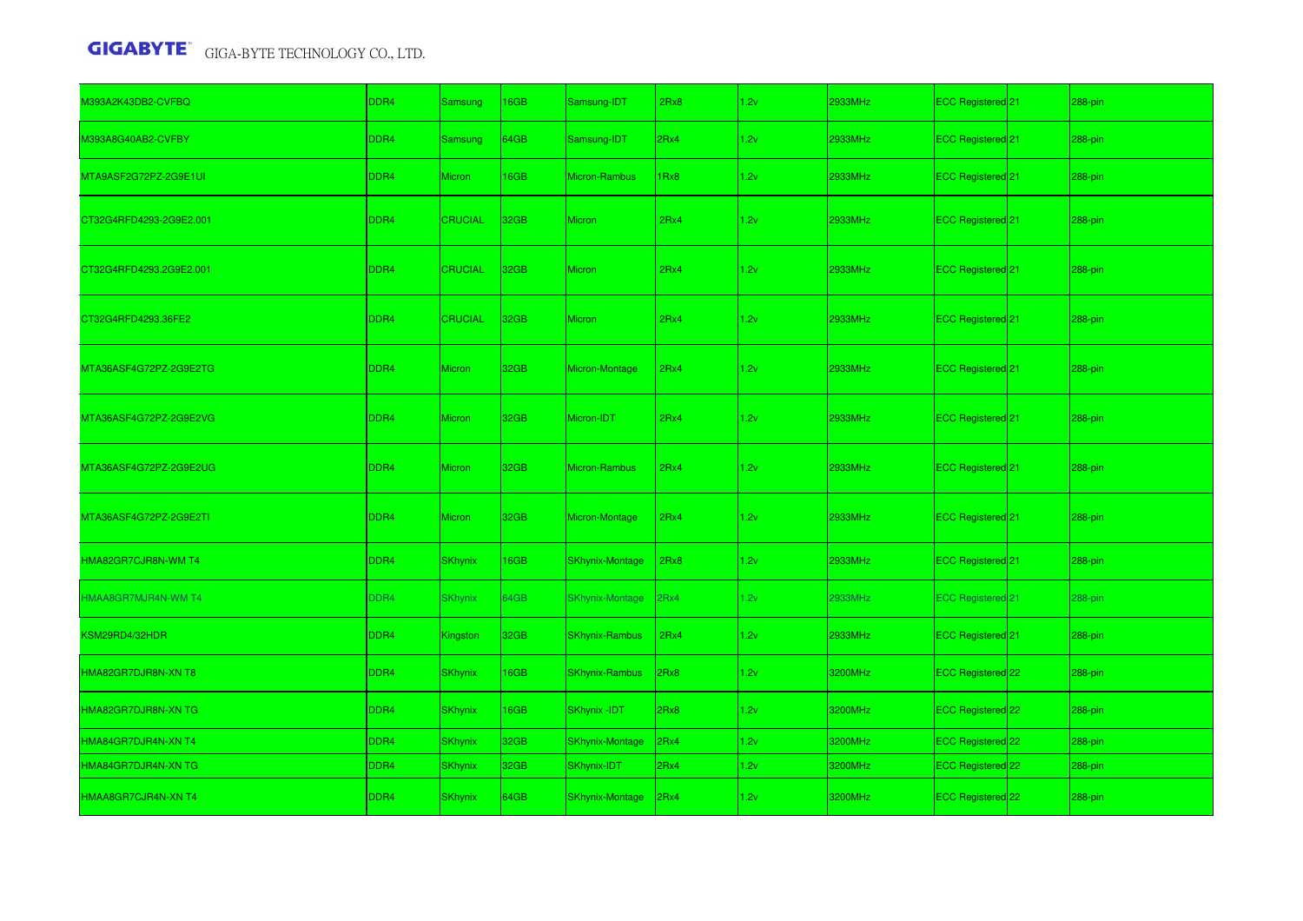| M393A2K43DB2-CVFBQ         | DDR4             | <b>Samsung</b> | 16GB | Samsung-IDT            | 2Rx8 | 1.2v | 2933MHz | ECC Registered 21              | 288-pin |
|----------------------------|------------------|----------------|------|------------------------|------|------|---------|--------------------------------|---------|
| M393A8G40AB2-CVFBY         | DDR4             | <b>Samsung</b> | 64GB | Samsung-IDT            | 2Rx4 | 1.2v | 2933MHz | ECC Registered 21              | 288-pin |
| MTA9ASF2G72PZ-2G9E1UI      | DDR4             | <b>Micron</b>  | 16GB | Micron-Rambus          | Rx8  | 1.2v | 2933MHz | ECC Registered 21              | 288-pin |
| CT32G4RFD4293-2G9E2.001    | DDR4             | <b>CRUCIAL</b> | 32GB | <b>Micron</b>          | 2Rx4 | 1.2v | 2933MHz | ECC Registered 21              | 288-pin |
| CT32G4RFD4293.2G9E2.001    | DDR4             | <b>CRUCIAL</b> | 32GB | <b>Micron</b>          | 2Rx4 | 1.2v | 2933MHz | ECC Registered 21              | 288-pin |
| CT32G4RFD4293.36FE2        | DDR4             | <b>CRUCIAL</b> | 32GB | Micron                 | 2Rx4 | 1.2v | 2933MHz | ECC Registered 21              | 288-pin |
| MTA36ASF4G72PZ-2G9E2TG     | DDR4             | <b>Micron</b>  | 32GB | Micron-Montage         | 2Rx4 | 1.2v | 2933MHz | ECC Registered 21              | 288-pin |
| MTA36ASF4G72PZ-2G9E2VG     | DDR4             | <b>Micron</b>  | 32GB | Micron-IDT             | 2Rx4 | 1.2v | 2933MHz | ECC Registered <sup>1</sup> 21 | 288-pin |
| MTA36ASF4G72PZ-2G9E2UG     | DDR4             | Micron         | 32GB | Micron-Rambus          | 2Rx4 | 1.2v | 2933MHz | ECC Registered 21              | 288-pin |
| MTA36ASF4G72PZ-2G9E2TI     | DDR <sub>4</sub> | <b>Micron</b>  | 32GB | Micron-Montage         | 2Rx4 | 1.2v | 2933MHz | ECC Registered 21              | 288-pin |
| HMA82GR7CJR8N-WM T4        | DDR4             | <b>SKhynix</b> | 16GB | <b>SKhynix-Montage</b> | 2Rx8 | 1.2v | 2933MHz | ECC Registered 21              | 288-pin |
| <b>HMAA8GR7MJR4N-WM T4</b> | DDR4             | <b>SKhynix</b> | 64GB | <b>SKhynix-Montage</b> | 2Rx4 | 1.2v | 2933MHz | <b>ECC Registered 21</b>       | 288-pin |
| KSM29RD4/32HDR             | DDR4             | Kingston       | 32GB | <b>SKhynix-Rambus</b>  | 2Rx4 | 1.2v | 2933MHz | ECC Registered <sup>[21]</sup> | 288-pin |
| HMA82GR7DJR8N-XN T8        | DDR4             | <b>SKhynix</b> | 16GB | <b>SKhynix-Rambus</b>  | 2Rx8 | 1.2v | 3200MHz | ECC Registered 22              | 288-pin |
| HMA82GR7DJR8N-XN TG        | DDR4             | <b>SKhynix</b> | 16GB | <b>SKhynix-IDT</b>     | 2Rx8 | 1.2v | 3200MHz | ECC Registered 22              | 288-pin |
| HMA84GR7DJR4N-XN T4        | DDR4             | <b>SKhynix</b> | 32GB | SKhynix-Montage        | 2Rx4 | 1.2v | 3200MHz | ECC Registered 22              | 288-pin |
| HMA84GR7DJR4N-XN TG        | DDR <sub>4</sub> | <b>SKhynix</b> | 32GB | SKhynix-IDT            | 2Rx4 | 1.2v | 3200MHz | ECC Registered 22              | 288-pin |
| HMAA8GR7CJR4N-XN T4        | DDR4             | <b>SKhynix</b> | 64GB | <b>SKhynix-Montage</b> | 2Rx4 | 1.2v | 3200MHz | ECC Registered 22              | 288-pin |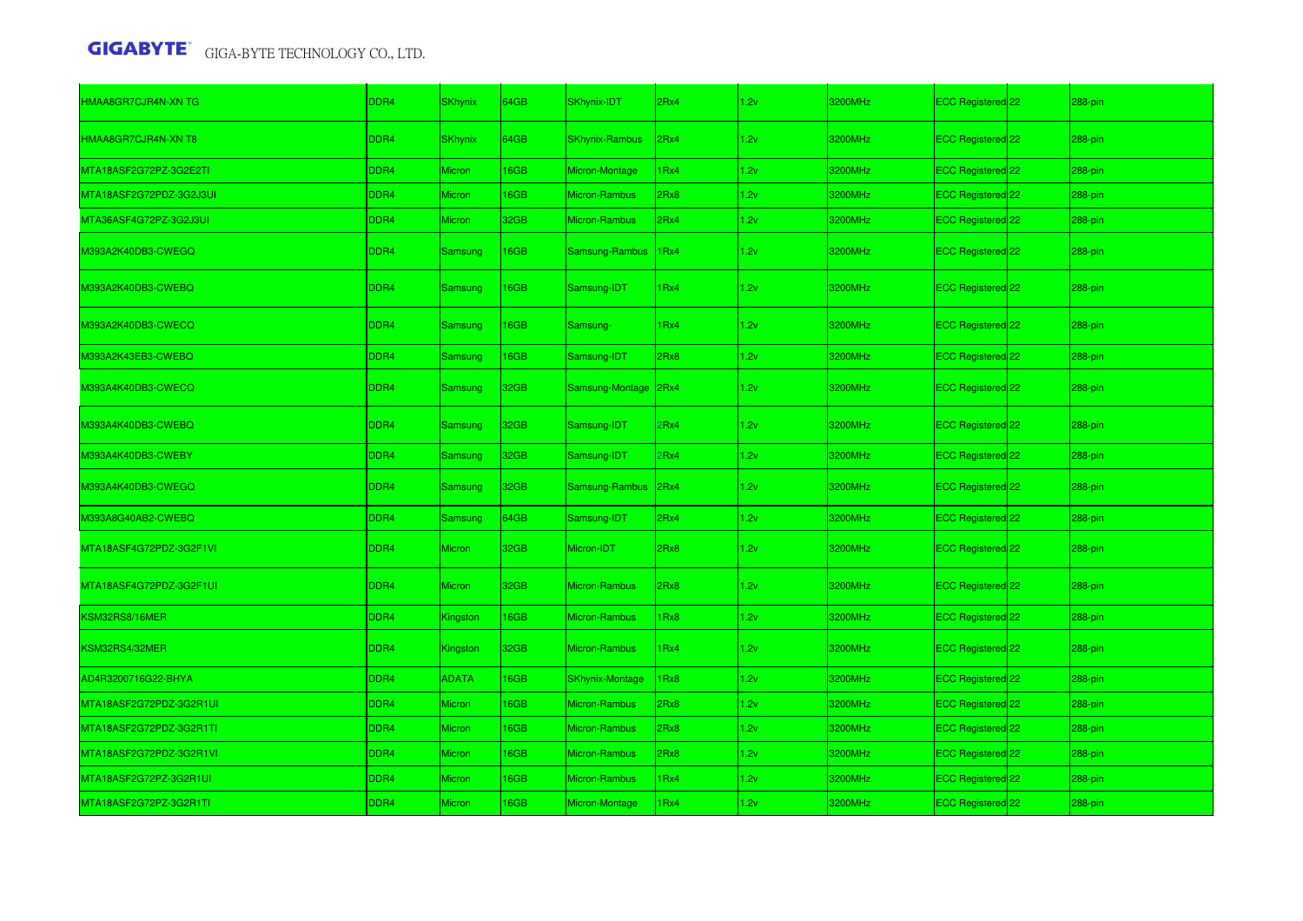| HMAA8GR7CJR4N-XN TG     | DDR4             | <b>SKhynix</b> | 64GB        | SKhynix-IDT            | 2Rx4             | 1.2v | 3200MHz | ECC Registered <sup>22</sup> | 288-pin   |
|-------------------------|------------------|----------------|-------------|------------------------|------------------|------|---------|------------------------------|-----------|
| HMAA8GR7CJR4N-XN T8     | DDR4             | <b>SKhynix</b> | 64GB        | <b>SKhynix-Rambus</b>  | 2Rx4             | 1.2v | 3200MHz | ECC Registered 22            | 288-pin   |
| MTA18ASF2G72PZ-3G2E2TI  | DDR4             | Micron         | 16GB        | Micron-Montage         | IRx4             | 1.2v | 3200MHz | ECC Registered 22            | 288-pin   |
| MTA18ASF2G72PDZ-3G2J3UI | DDR4             | Micron         | <b>I6GB</b> | Micron-Rambus          | 2Rx8             | 1.2v | 3200MHz | ECC Registered 22            | 288-pin   |
| MTA36ASF4G72PZ-3G2J3UI  | DDR4             | <b>Micron</b>  | 32GB        | Micron-Rambus          | 2Rx4             | 1.2v | 3200MHz | ECC Registered 22            | 288-pin   |
| M393A2K40DB3-CWEGQ      | DDR4             | Samsung        | 16GB        | Samsung-Rambus         | 1 <sub>Rx4</sub> | 1.2v | 3200MHz | ECC Registered 22            | $288-pin$ |
| M393A2K40DB3-CWEBQ      | DDR4             | Samsung        | <b>I6GB</b> | Samsung-IDT            | 1Rx4             | 1.2v | 3200MHz | ECC Registered <sup>22</sup> | 288-pin   |
| M393A2K40DB3-CWECQ      | DDR4             | Samsung        | 16GB        | Samsung-               | 1Rx4             | 1.2v | 3200MHz | ECC Registered 22            | 288-pin   |
| M393A2K43EB3-CWEBQ      | DDR4             | Samsung        | <b>I6GB</b> | Samsung-IDT            | 2Rx8             | 1.2v | 3200MHz | ECC Registered 22            | 288-pin   |
| M393A4K40DB3-CWECQ      | DDR4             | <b>Samsung</b> | 32GB        | Samsung-Montage        | 2Rx4             | 1.2v | 3200MHz | ECC Registered 22            | 288-pin   |
| M393A4K40DB3-CWEBQ      | DDR4             | <b>Samsung</b> | 32GB        | Samsung-IDT            | Rx4              | 1.2v | 3200MHz | ECC Registered 22            | 288-pin   |
| M393A4K40DB3-CWEBY      | DDR4             | <b>Samsung</b> | 32GB        | Samsung-IDT            | Rx4              | 1.2v | 3200MHz | ECC Registered 22            | 288-pin   |
| M393A4K40DB3-CWEGQ      | DDR <sub>4</sub> | <b>Samsung</b> | 32GB        | Samsung-Rambus 2Rx4    |                  | 1.2v | 3200MHz | ECC Registered 22            | 288-pin   |
| M393A8G40AB2-CWEBQ      | DDR4             | <b>Samsung</b> | 64GB        | Samsung-IDT            | 2Rx4             | 1.2v | 3200MHz | ECC Registered 22            | 288-pin   |
| MTA18ASF4G72PDZ-3G2F1VL | DDR4             | <b>Micron</b>  | 32GB        | Micron-IDT             | 2Rx8             | 1.2v | 3200MHz | ECC Registered 22            | 288-pin   |
| MTA18ASF4G72PDZ-3G2F1UI | DDR <sub>4</sub> | Micron         | 32GB        | Micron-Rambus          | 2Rx8             | 1.2v | 3200MHz | ECC Registered <sup>22</sup> | 288-pin   |
| KSM32RS8/16MER          | DDR4             | Kingston       | <b>I6GB</b> | Micron-Rambus          | Rx8              | 1.2v | 3200MHz | ECC Registered 22            | 288-pin   |
| KSM32RS4/32MER          | DDR4             | Kingston       | 32GB        | <b>Micron-Rambus</b>   | Rx4              | 1.2v | 3200MHz | ECC Registered 22            | 288-pin   |
| AD4R3200716G22-BHYA     | DDR <sub>4</sub> | <b>ADATA</b>   | 16GB        | <b>SKhynix-Montage</b> | Rx8              | 1.2v | 3200MHz | ECC Registered 22            | 288-pin   |
| MTA18ASF2G72PDZ-3G2R1UI | DDR4             | Micron         | 16GB        | Micron-Rambus          | Rx8              | 1.2v | 3200MHz | ECC Registered 22            | 288-pin   |
| MTA18ASF2G72PDZ-3G2R1TI | DDR4             | Micron         | <b>I6GB</b> | Micron-Rambus          | 2Rx8             | 1.2v | 3200MHz | ECC Registered 22            | 288-pin   |
| MTA18ASF2G72PDZ-3G2R1VI | DDR4             | Micron         | <b>I6GB</b> | Micron-Rambus          | BxR!             | 1.2v | 3200MHz | ECC Registered 22            | 288-pin   |
| MTA18ASF2G72PZ-3G2R1UI  | DDR4             | Micron         | <b>I6GB</b> | Micron-Rambus          | Rx4              | 1.2v | 3200MHz | ECC Registered 22            | 288-pin   |
| MTA18ASF2G72PZ-3G2R1TI  | DDR4             | <b>Micron</b>  | <b>I6GB</b> | Micron-Montage         | Rx4              | 1.2v | 3200MHz | ECC Registered 22            | 288-pin   |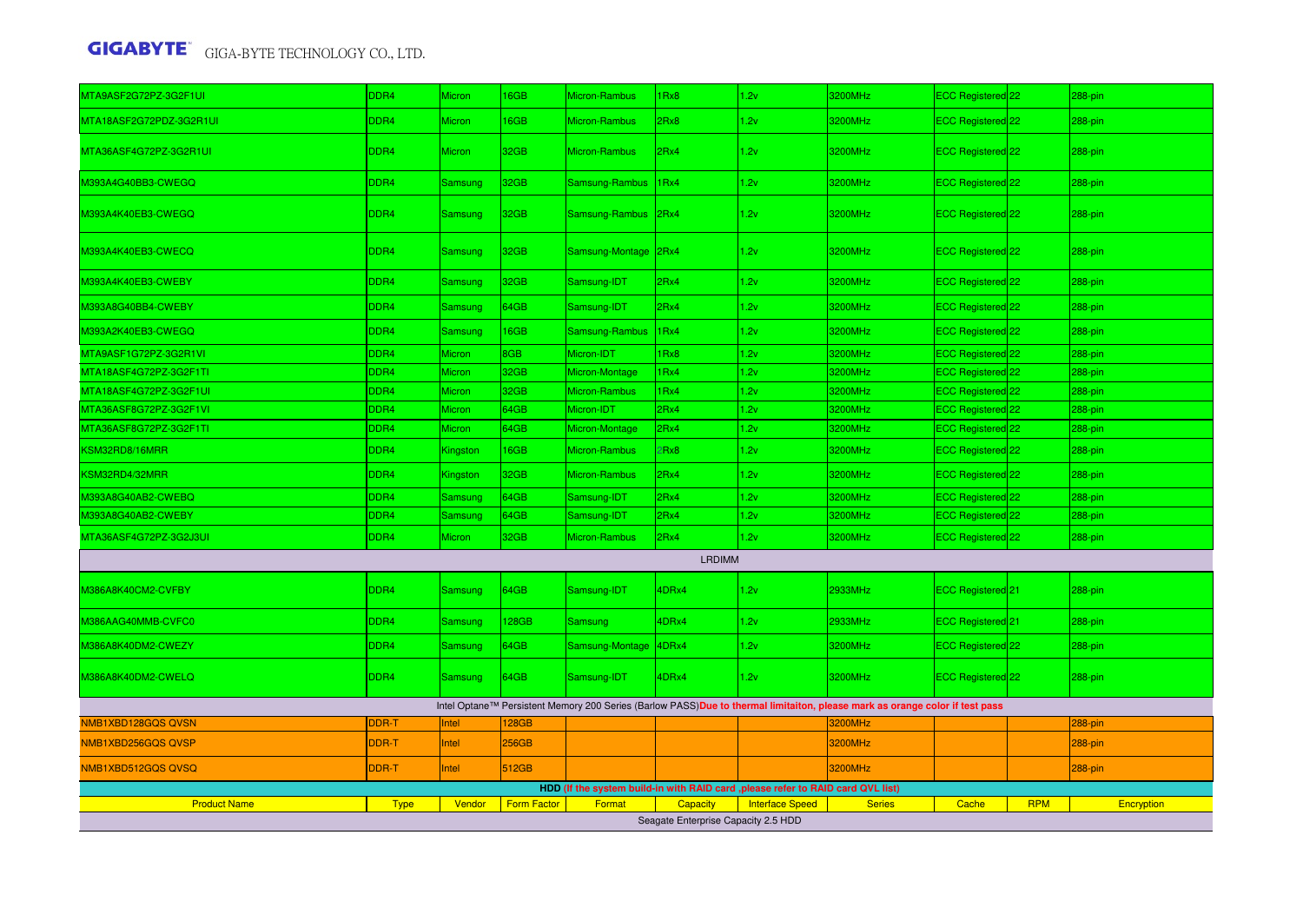| MTA9ASF2G72PZ-3G2F1UI   | DDR4        | Micron         | 16GB               | Micron-Rambus        | Rx8                                 | 1.2v                                                                             | 3200MHz                                                                                                                     | ECC Registered 22              |            | 288-pin    |
|-------------------------|-------------|----------------|--------------------|----------------------|-------------------------------------|----------------------------------------------------------------------------------|-----------------------------------------------------------------------------------------------------------------------------|--------------------------------|------------|------------|
| MTA18ASF2G72PDZ-3G2R1UI | DDR4        | Micron         | 16GB               | <b>Micron-Rambus</b> | 2Rx8                                | 1.2v                                                                             | 3200MHz                                                                                                                     | ECC Registered 22              |            | 288-pin    |
| MTA36ASF4G72PZ-3G2R1UI  | DDR4        | <b>Micron</b>  | 32GB               | Micron-Rambus        | 2Rx4                                | 1.2v                                                                             | 3200MHz                                                                                                                     | ECC Registered 22              |            | 288-pin    |
| M393A4G40BB3-CWEGQ      | DDR4        | Samsung        | 32GB               | Samsung-Rambus       | 1Rx4                                | 1.2v                                                                             | 3200MHz                                                                                                                     | ECC Registered 22              |            | 288-pin    |
| M393A4K40EB3-CWEGQ      | DDR4        | Samsung        | 32GB               | Samsung-Rambus       | 2Rx4                                | 1.2v                                                                             | 3200MHz                                                                                                                     | ECC Registered <sup>[22]</sup> |            | 288-pin    |
| M393A4K40EB3-CWECQ      | DDR4        | <b>Samsung</b> | 32GB               | Samsung-Montage 2Rx4 |                                     | 1.2v                                                                             | 3200MHz                                                                                                                     | ECC Registered 22              |            | 288-pin    |
| M393A4K40EB3-CWEBY      | DDR4        | Samsung        | 32GB               | Samsung-IDT          | 2Rx4                                | 1.2v                                                                             | 3200MHz                                                                                                                     | ECC Registered 22              |            | 288-pin    |
| M393A8G40BB4-CWEBY      | DDR4        | <b>Samsung</b> | 64GB               | Samsung-IDT          | 2Rx4                                | 1.2v                                                                             | 3200MHz                                                                                                                     | ECC Registered 22              |            | 288-pin    |
| M393A2K40EB3-CWEGQ      | DDR4        | <b>Samsung</b> | 16GB               | Samsung-Rambus       | 1Rx4                                | 1.2v                                                                             | 3200MHz                                                                                                                     | ECC Registered 22              |            | 288-pin    |
| MTA9ASF1G72PZ-3G2R1VI   | DDR4        | Micron         | 8GB                | Micron-IDT           | 1Rx8                                | 1.2v                                                                             | 3200MHz                                                                                                                     | ECC Registered 22              |            | 288-pin    |
| MTA18ASF4G72PZ-3G2F1TI  | DDR4        | Micron         | 32GB               | Micron-Montage       | 1Rx4                                | 1.2v                                                                             | 3200MHz                                                                                                                     | ECC Registered 22              |            | 288-pin    |
| MTA18ASF4G72PZ-3G2F1UI  | DDR4        | <b>Micron</b>  | 32GB               | <b>Micron-Rambus</b> | 1Rx4                                | 1.2v                                                                             | 3200MHz                                                                                                                     | ECC Registered 22              |            | 288-pin    |
| MTA36ASF8G72PZ-3G2F1VI  | DDR4        | Micron         | 64GB               | Micron-IDT           | 2Rx4                                | 1.2v                                                                             | 3200MHz                                                                                                                     | ECC Registered 22              |            | 288-pin    |
| MTA36ASF8G72PZ-3G2F1TI  | DDR4        | Micron         | 64GB               | Micron-Montage       | 2Rx4                                | 1.2v                                                                             | 3200MHz                                                                                                                     | ECC Registered 22              |            | 288-pin    |
| KSM32RD8/16MRR          | DDR4        | Kingston       | 16GB               | <b>Micron-Rambus</b> | Rx8                                 | 1.2v                                                                             | 3200MHz                                                                                                                     | ECC Registered 22              |            | 288-pin    |
| KSM32RD4/32MRR          | DDR4        | Kingston       | 32GB               | Micron-Rambus        | 2Rx4                                | 1.2v                                                                             | 3200MHz                                                                                                                     | ECC Registered 22              |            | 288-pin    |
| M393A8G40AB2-CWEBQ      | DDR4        | Samsung        | 64GB               | Samsung-IDT          | 2Rx4                                | 1.2v                                                                             | 3200MHz                                                                                                                     | ECC Registered <sup>22</sup>   |            | 288-pin    |
| M393A8G40AB2-CWEBY      | DDR4        | Samsung        | 64GB               | Samsung-IDT          | 2Rx4                                | 1.2v                                                                             | 3200MHz                                                                                                                     | ECC Registered 22              |            | 288-pin    |
| MTA36ASF4G72PZ-3G2J3UI  | DDR4        | <b>Micron</b>  | 32GB               | <b>Micron-Rambus</b> | 2Rx4                                | 1.2v                                                                             | 3200MHz                                                                                                                     | ECC Registered 22              |            | 288-pin    |
|                         |             |                |                    |                      | <b>LRDIMM</b>                       |                                                                                  |                                                                                                                             |                                |            |            |
| M386A8K40CM2-CVFBY      | DDR4        | Samsung        | 64GB               | Samsung-IDT          | 4DRx4                               | 1.2v                                                                             | 2933MHz                                                                                                                     | ECC Registered 21              |            | $288$ -pin |
| M386AAG40MMB-CVFC0      | DDR4        | <b>Samsung</b> | 128GB              | <b>Samsung</b>       | 4DRx4                               | 1.2v                                                                             | 2933MHz                                                                                                                     | ECC Registered <sup>21</sup>   |            | 288-pin    |
| M386A8K40DM2-CWEZY      | DDR4        | <b>Samsung</b> | 64GB               | Samsung-Montage      | 4DRx4                               | 1.2v                                                                             | 3200MHz                                                                                                                     | ECC Registered 22              |            | 288-pin    |
| M386A8K40DM2-CWELQ      | DDR4        | Samsung        | 64GB               | Samsung-IDT          | 4DRx4                               | 1.2v                                                                             | 3200MHz                                                                                                                     | ECC Registered 22              |            | 288-pin    |
|                         |             |                |                    |                      |                                     |                                                                                  | Intel Optane™ Persistent Memory 200 Series (Barlow PASS)Due to thermal limitaiton, please mark as orange color if test pass |                                |            |            |
| NMB1XBD128GQS QVSN      | DDR-T       | Intel          | 128GB              |                      |                                     |                                                                                  | 3200MHz                                                                                                                     |                                |            | 288-pin    |
| NMB1XBD256GQSQVSP       | DDR-T       | Intel          | 256GB              |                      |                                     |                                                                                  | 3200MHz                                                                                                                     |                                |            | 288-pin    |
| NMB1XBD512GQS QVSQ      | DDR-T       | ntel           | 512GB              |                      |                                     |                                                                                  | 3200MHz                                                                                                                     |                                |            | 288-pin    |
|                         |             |                |                    |                      |                                     | HDD (If the system build-in with RAID card , please refer to RAID card QVL list) |                                                                                                                             |                                |            |            |
| <b>Product Name</b>     | <b>Type</b> | Vendor         | <b>Form Factor</b> | Format               | Capacity                            | <b>Interface Speed</b>                                                           | <b>Series</b>                                                                                                               | Cache                          | <b>RPM</b> | Encryption |
|                         |             |                |                    |                      | Seagate Enterprise Capacity 2.5 HDD |                                                                                  |                                                                                                                             |                                |            |            |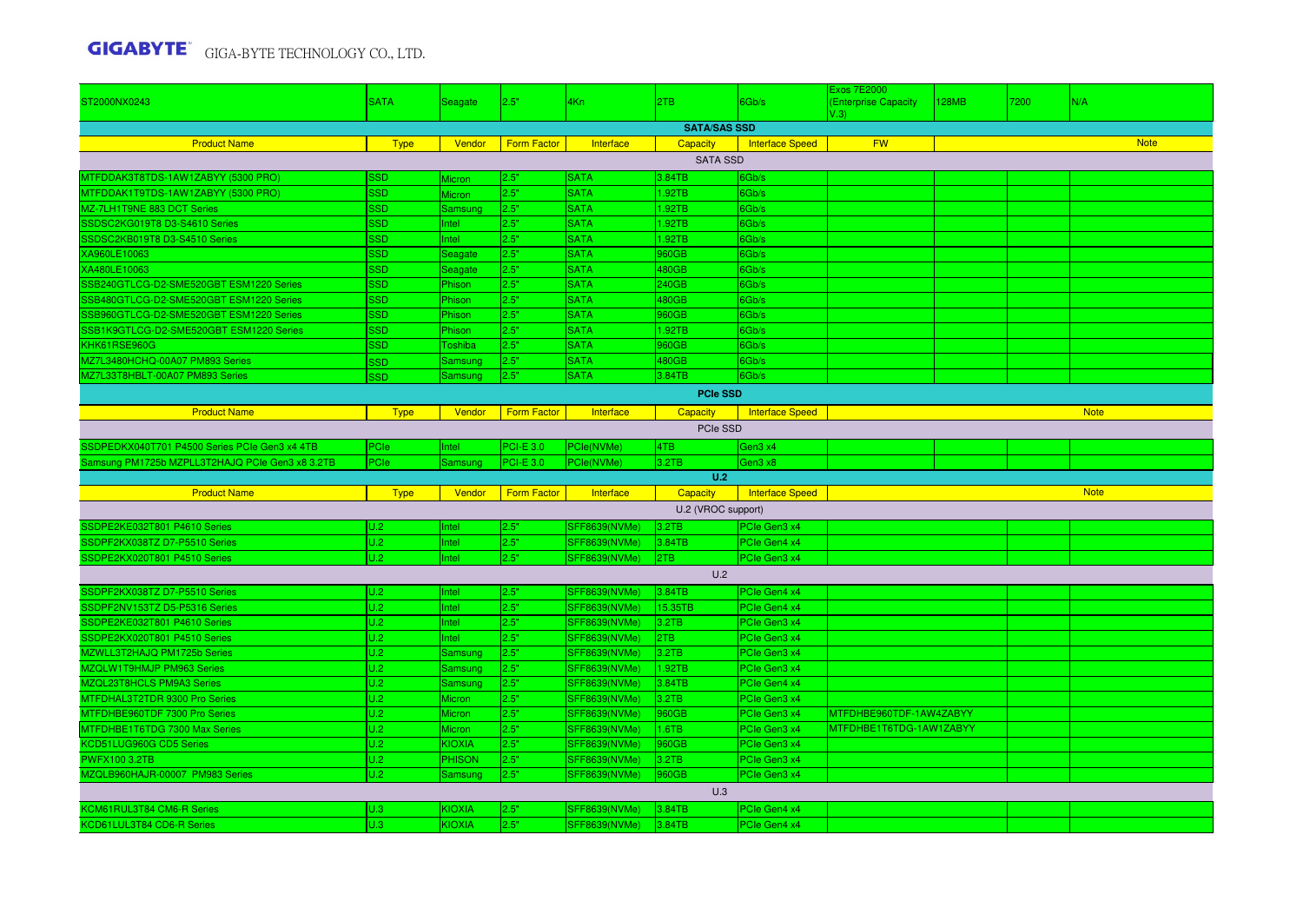|                                                 |             |                |                    |                      |                     |                        | <b>Exos 7E2000</b>      |       |      |             |  |  |
|-------------------------------------------------|-------------|----------------|--------------------|----------------------|---------------------|------------------------|-------------------------|-------|------|-------------|--|--|
| ST2000NX0243                                    | <b>SATA</b> | Seagate        | 2.5"               | 4Kn                  | 2TB                 | 6Gb/s                  | (Enterprise Capacity    | 128MB | 7200 | N/A         |  |  |
|                                                 |             |                |                    |                      | <b>SATA/SAS SSD</b> |                        | V.3)                    |       |      |             |  |  |
|                                                 |             |                |                    |                      |                     |                        |                         |       |      |             |  |  |
| <b>Product Name</b>                             | <b>Type</b> | Vendor         | <b>Form Factor</b> | Interface            | <b>Capacity</b>     | Interface Speed        | <b>FW</b>               |       |      | <b>Note</b> |  |  |
|                                                 |             |                |                    |                      | <b>SATA SSD</b>     |                        |                         |       |      |             |  |  |
| MTFDDAK3T8TDS-1AW1ZABYY (5300 PRO)              | SSD         | Micron         | 2.5"               | <b>SATA</b>          | 3.84TB              | 6Gb/s                  |                         |       |      |             |  |  |
| MTFDDAK1T9TDS-1AW1ZABYY (5300 PRO)              | <b>SSD</b>  | Micron         | 2.5"               | <b>SATA</b>          | 1.92TB              | 6Gb/s                  |                         |       |      |             |  |  |
| MZ-7LH1T9NE 883 DCT Series                      | <b>SSD</b>  | Samsung        | 2.5"               | <b>SATA</b>          | 1.92TB              | 6Gb/s                  |                         |       |      |             |  |  |
| SSDSC2KG019T8 D3-S4610 Series                   | <b>SSD</b>  | Intel          | 2.5"               | <b>SATA</b>          | .92TB               | 6Gb/s                  |                         |       |      |             |  |  |
| SSDSC2KB019T8 D3-S4510 Series                   | SSD         | Intel          | 2.5"               | <b>SATA</b>          | 1.92TB              | 6Gb/s                  |                         |       |      |             |  |  |
| XA960LE10063                                    | SSD         | Seagate        | 2.5"               | <b>SATA</b>          | 960GB               | 6Gb/s                  |                         |       |      |             |  |  |
| XA480LE10063                                    | SSD         | Seagate        | 2.5"               | <b>SATA</b>          | 480GB               | 6Gb/s                  |                         |       |      |             |  |  |
| SSB240GTLCG-D2-SME520GBT ESM1220 Series         | SSD         | Phison         | 2.5"               | <b>SATA</b>          | 240GB               | 6Gb/s                  |                         |       |      |             |  |  |
| SSB480GTLCG-D2-SME520GBT ESM1220 Series         | SSD         | Phison         | 2.5"               | <b>SATA</b>          | 480GB               | 6Gb/s                  |                         |       |      |             |  |  |
| SSB960GTLCG-D2-SME520GBT ESM1220 Series         | SSD         | Phison         | 2.5"               | <b>SATA</b>          | 960GB               | 6Gb/s                  |                         |       |      |             |  |  |
| SSB1K9GTLCG-D2-SME520GBT ESM1220 Series         | <b>SSD</b>  | Phison         | 2.5"               | <b>SATA</b>          | 1.92TB              | 6Gb/s                  |                         |       |      |             |  |  |
| KHK61RSE960G                                    | <b>SSD</b>  | Toshiba        | 2.5"               | <b>SATA</b>          | 960GB               | 6Gb/s                  |                         |       |      |             |  |  |
| MZ7L3480HCHQ-00A07 PM893 Series                 | <b>SSD</b>  | Samsung        | 2.5"               | <b>SATA</b>          | 480GB               | 6Gb/s                  |                         |       |      |             |  |  |
| MZ7L33T8HBLT-00A07 PM893 Series                 | <b>GSP</b>  | Samsung        | 2.5"               | <b>SATA</b>          | 3.84TB              | 6Gb/s                  |                         |       |      |             |  |  |
| <b>PCIe SSD</b>                                 |             |                |                    |                      |                     |                        |                         |       |      |             |  |  |
| <b>Product Name</b>                             | <b>Type</b> | Vendor         | <b>Form Factor</b> | Interface            | Capacity            | <b>Interface Speed</b> |                         |       |      | <b>Note</b> |  |  |
|                                                 |             |                |                    |                      | PCIe SSD            |                        |                         |       |      |             |  |  |
|                                                 |             |                |                    |                      |                     |                        |                         |       |      |             |  |  |
| SSDPEDKX040T701 P4500 Series PCIe Gen3 x4 4TB   | <b>PCIe</b> | <b>Intel</b>   | $PCI-E$ 3.0        | PCle(NVMe)           | 4TB                 | Gen3 x4                |                         |       |      |             |  |  |
| Samsung PM1725b MZPLL3T2HAJQ PCIe Gen3 x8 3.2TB | <b>PCIe</b> | Samsung        | $PCI-E$ 3.0        | PCle(NVMe)           | 3.2TB               | Gen3 x8                |                         |       |      |             |  |  |
|                                                 |             |                |                    |                      | U.2                 |                        |                         |       |      |             |  |  |
| <b>Product Name</b>                             | <b>Type</b> | Vendor         | <b>Form Factor</b> | Interface            | <b>Capacity</b>     | <b>Interface Speed</b> |                         |       |      | <b>Note</b> |  |  |
|                                                 |             |                |                    |                      | U.2 (VROC support)  |                        |                         |       |      |             |  |  |
| SSDPE2KE032T801 P4610 Series                    | U.2         | Intel          | 2.5"               | <b>SFF8639(NVMe)</b> | 3.2TB               | PCIe Gen3 x4           |                         |       |      |             |  |  |
| SSDPF2KX038TZ D7-P5510 Series                   | U.2         | Intel          | 2.5"               | <b>SFF8639(NVMe)</b> | 3.84TB              | PCIe Gen4 x4           |                         |       |      |             |  |  |
| SSDPE2KX020T801 P4510 Series                    | U.2         | Intel          | 2.5"               | SFF8639(NVMe)        | 2TB                 | PCIe Gen3 x4           |                         |       |      |             |  |  |
|                                                 |             |                |                    |                      | U.2                 |                        |                         |       |      |             |  |  |
| SSDPF2KX038TZ D7-P5510 Series                   | U.2         | Intel          | 2.5"               | SFF8639(NVMe)        | 3.84TB              | PCIe Gen4 x4           |                         |       |      |             |  |  |
| SSDPF2NV153TZ D5-P5316 Series                   | U.2         | Intel          | 2.5"               | <b>SFF8639(NVMe)</b> | 15.35TB             | PCIe Gen4 x4           |                         |       |      |             |  |  |
| SSDPE2KE032T801 P4610 Series                    | U.2         | Intel          | 2.5"               | <b>SFF8639(NVMe)</b> | 3.2TB               | PCIe Gen3 x4           |                         |       |      |             |  |  |
| SSDPE2KX020T801 P4510 Series                    | U.2         | Intel          | 2.5"               | <b>SFF8639(NVMe)</b> | 2TB                 | PCIe Gen3 x4           |                         |       |      |             |  |  |
| MZWLL3T2HAJQ PM1725b Series                     | U.2         | <b>Samsung</b> | 2.5"               | <b>SFF8639(NVMe)</b> | 3.2TB               | PCIe Gen3 x4           |                         |       |      |             |  |  |
| MZQLW1T9HMJP PM963 Series                       | U.2         | Samsung        | 2.5"               | <b>SFF8639(NVMe)</b> | 1.92TB              | PCIe Gen3 x4           |                         |       |      |             |  |  |
| MZQL23T8HCLS PM9A3 Series                       | U.2         | Samsung        | 2.5"               | <b>SFF8639(NVMe)</b> | 3.84TB              | PCIe Gen4 x4           |                         |       |      |             |  |  |
| MTFDHAL3T2TDR 9300 Pro Series                   | U.2         | <b>Micron</b>  | 2.5"               | <b>SFF8639(NVMe)</b> | 3.2TB               | PCIe Gen3 x4           |                         |       |      |             |  |  |
| MTFDHBE960TDF 7300 Pro Series                   | U.2         | Micron         | 2.5"               | <b>SFF8639(NVMe)</b> | 960GB               | PCIe Gen3 x4           | MTFDHBE960TDF-1AW4ZABYY |       |      |             |  |  |
| MTFDHBE1T6TDG 7300 Max Series                   | U.2         | Micron         | 2.5"               | <b>SFF8639(NVMe)</b> | 1.6TB               | PCIe Gen3 x4           | MTFDHBE1T6TDG-1AW1ZABYY |       |      |             |  |  |
| KCD51LUG960G CD5 Series                         | U.2         | <b>KIOXIA</b>  | 2.5"               | <b>SFF8639(NVMe)</b> | 960GB               | PCIe Gen3 x4           |                         |       |      |             |  |  |
| <b>PWFX100 3.2TB</b>                            | U.2         | <b>PHISON</b>  | 2.5"               | SFF8639(NVMe)        | 3.2TB               | PCIe Gen3 x4           |                         |       |      |             |  |  |
| MZQLB960HAJR-00007 PM983 Series                 | U.2         | Samsung        | 2.5"               | SFF8639(NVMe)        | 960GB               | PCIe Gen3 x4           |                         |       |      |             |  |  |
|                                                 |             |                |                    |                      | U.3                 |                        |                         |       |      |             |  |  |
|                                                 |             |                |                    |                      |                     |                        |                         |       |      |             |  |  |
| KCM61RUL3T84 CM6-R Series                       | U.3         | <b>KIOXIA</b>  | 2.5"               | <b>SFF8639(NVMe)</b> | 3.84TB              | PCIe Gen4 x4           |                         |       |      |             |  |  |
| KCD61LUL3T84 CD6-R Series                       | U.3         | <b>KIOXIA</b>  | 2.5"               | <b>SFF8639(NVMe)</b> | 3.84TB              | PCIe Gen4 x4           |                         |       |      |             |  |  |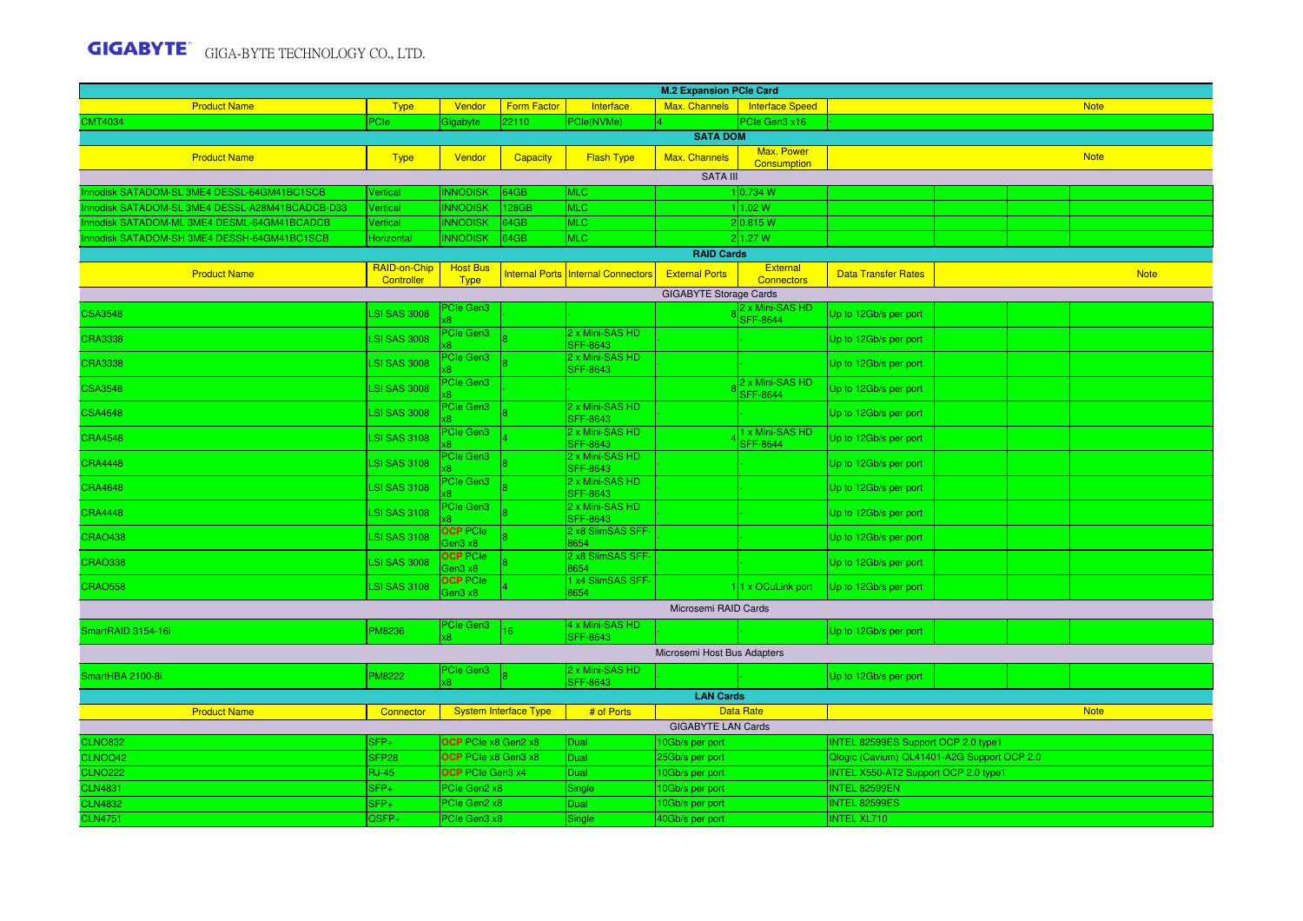| <b>M.2 Expansion PCle Card</b>                                                                |                                   |                                               |                              |                                                |                                    |                                    |                                                                                     |  |  |             |  |
|-----------------------------------------------------------------------------------------------|-----------------------------------|-----------------------------------------------|------------------------------|------------------------------------------------|------------------------------------|------------------------------------|-------------------------------------------------------------------------------------|--|--|-------------|--|
| <b>Product Name</b>                                                                           | <b>Type</b>                       | Vendor                                        | <b>Form Factor</b>           | Interface                                      | Max. Channels                      | Interface Speed                    |                                                                                     |  |  | <b>Note</b> |  |
| <b>CMT4034</b>                                                                                | PCIe:                             | Gigabyte                                      | 22110                        | PCle(NVMe)                                     |                                    | PCIe Gen3 x16                      |                                                                                     |  |  |             |  |
|                                                                                               |                                   |                                               |                              |                                                | <b>SATA DOM</b>                    | Max. Power                         |                                                                                     |  |  |             |  |
| <b>Product Name</b>                                                                           | <b>Type</b>                       | Vendor                                        | <b>Capacity</b>              | <b>Flash Type</b>                              | Max. Channels                      | <b>Consumption</b>                 |                                                                                     |  |  | <b>Note</b> |  |
|                                                                                               |                                   |                                               |                              |                                                | <b>SATA III</b>                    |                                    |                                                                                     |  |  |             |  |
| Innodisk SATADOM-SL 3ME4 DESSL-64GM41BC1SCB                                                   | Vertical                          | <b>INNODISK</b>                               | 64GB                         | <b>MLC</b>                                     |                                    | 1 0.734 W                          |                                                                                     |  |  |             |  |
| Innodisk SATADOM-SL 3ME4 DESSL-A28M41BCADCB-D33<br>nnodisk SATADOM-ML 3ME4 DESML-64GM41BCADCB | Vertical<br>Vertical              | <b>INNODISK</b><br><b>INNODISK</b>            | 128GB<br>64GB                | <b>MLC</b><br><b>MLC</b>                       |                                    | 11.02 W<br>2 0.815 W               |                                                                                     |  |  |             |  |
| nnodisk SATADOM-SH 3ME4 DESSH-64GM41BC1SCB                                                    | Horizontal                        | <b>INNODISK</b>                               | 64GB                         | <b>MLC</b>                                     |                                    | 2 1.27 W                           |                                                                                     |  |  |             |  |
|                                                                                               |                                   |                                               |                              |                                                | <b>RAID Cards</b>                  |                                    |                                                                                     |  |  |             |  |
| <b>Product Name</b>                                                                           | RAID-on-Chip                      | <b>Host Bus</b>                               | <b>Internal Ports</b>        | <b>Internal Connectors</b>                     | <b>External Ports</b>              | External                           | <b>Data Transfer Rates</b>                                                          |  |  | <b>Note</b> |  |
|                                                                                               | Controller                        | <b>Type</b>                                   |                              |                                                | <b>GIGABYTE Storage Cards</b>      | <b>Connectors</b>                  |                                                                                     |  |  |             |  |
|                                                                                               |                                   | <b>PCIe Gen3</b>                              |                              |                                                |                                    | 2 x Mini-SAS HD                    |                                                                                     |  |  |             |  |
| <b>CSA3548</b>                                                                                | <b>SI SAS 3008</b>                |                                               |                              |                                                |                                    | SFF-8644                           | Up to 12Gb/s per port                                                               |  |  |             |  |
| <b>CRA3338</b>                                                                                | <b>LSI SAS 3008</b>               | PCIe Gen3                                     |                              | 2 x Mini-SAS HD<br>SFF-8643                    |                                    |                                    | Up to 12Gb/s per port                                                               |  |  |             |  |
| <b>CRA3338</b>                                                                                | <b>LSI SAS 3008</b>               | PCIe Gen3                                     |                              | 2 x Mini-SAS HD<br>SFF-8643                    |                                    |                                    | Up to 12Gb/s per port                                                               |  |  |             |  |
| <b>CSA3548</b>                                                                                | <b>LSI SAS 3008</b>               | <b>PCIe Gen3</b>                              |                              |                                                |                                    | 2 x Mini-SAS HD<br><b>SFF-8644</b> | Up to 12Gb/s per port                                                               |  |  |             |  |
| <b>CSA4648</b>                                                                                | <b>LSI SAS 3008</b>               | <b>PCIe Gen3</b>                              |                              | 2 x Mini-SAS HD<br><b>SFF-8643</b>             |                                    |                                    | Up to 12Gb/s per port                                                               |  |  |             |  |
| <b>CRA4548</b>                                                                                | <b>LSI SAS 3108</b>               | PCIe Gen3                                     |                              | 2 x Mini-SAS HD<br><b>SFF-8643</b>             |                                    | 1 x Mini-SAS HD<br><b>SFF-8644</b> | Up to 12Gb/s per port                                                               |  |  |             |  |
| <b>CRA4448</b>                                                                                | <b>LSI SAS 3108</b>               | <b>PCIe Gen3</b>                              |                              | 2 x Mini-SAS HD<br><b>SFF-8643</b>             |                                    |                                    | Up to 12Gb/s per port                                                               |  |  |             |  |
| <b>CRA4648</b>                                                                                | <b>LSI SAS 3108</b>               | <b>PCIe Gen3</b>                              |                              | 2 x Mini-SAS HD<br><b>SFF-8643</b>             |                                    |                                    | Up to 12Gb/s per port                                                               |  |  |             |  |
| <b>CRA4448</b>                                                                                | <b>LSI SAS 3108</b>               | PCIe Gen3                                     |                              | 2 x Mini-SAS HD<br><b>SFF-8643</b>             |                                    |                                    | Up to 12Gb/s per port                                                               |  |  |             |  |
| <b>CRAO438</b>                                                                                | <b>LSI SAS 3108</b>               | <b>OCP PCIe</b><br>Gen3 x8                    |                              | 2 x8 SlimSAS SFF-<br>8654<br>2 x8 SlimSAS SFF- |                                    |                                    | Up to 12Gb/s per port                                                               |  |  |             |  |
| <b>CRAO338</b>                                                                                | <b>LSI SAS 3008</b>               | <b>OCP</b> PCIe<br>Gen3 x8<br><b>OCP PCIe</b> |                              | 8654<br>1 x4 SlimSAS SFF-                      |                                    |                                    | Up to 12Gb/s per port                                                               |  |  |             |  |
| <b>CRAO558</b>                                                                                | <b>LSI SAS 3108</b>               | Gen3 x8                                       |                              | 8654                                           |                                    | 11 x OCuLink port                  | Up to 12Gb/s per port                                                               |  |  |             |  |
|                                                                                               |                                   |                                               |                              |                                                | Microsemi RAID Cards               |                                    |                                                                                     |  |  |             |  |
| SmartRAID 3154-16i                                                                            | PM8236                            | PCIe Gen3                                     | 16                           | 4 x Mini-SAS HD                                |                                    |                                    | Up to 12Gb/s per port                                                               |  |  |             |  |
|                                                                                               |                                   |                                               |                              | <b>SFF-8643</b>                                | Microsemi Host Bus Adapters        |                                    |                                                                                     |  |  |             |  |
| SmartHBA 2100-8i                                                                              | <b>M8222</b>                      | PCIe Gen3                                     |                              | 2 x Mini-SAS HD<br><b>SFF-8643</b>             |                                    |                                    | Up to 12Gb/s per port                                                               |  |  |             |  |
|                                                                                               |                                   |                                               |                              |                                                | <b>LAN Cards</b>                   |                                    |                                                                                     |  |  |             |  |
| <b>Product Name</b>                                                                           | Connector                         |                                               | <b>System Interface Type</b> | # of Ports                                     |                                    | <b>Data Rate</b>                   |                                                                                     |  |  | <b>Note</b> |  |
|                                                                                               |                                   |                                               |                              |                                                | <b>GIGABYTE LAN Cards</b>          |                                    |                                                                                     |  |  |             |  |
| <b>CLNO832</b>                                                                                | $SFP+$                            | OCP PCIe x8 Gen2 x8<br>OCP PCIe x8 Gen3 x8    |                              | Dual                                           | 0Gb/s per port                     |                                    | INTEL 82599ES Support OCP 2.0 type1                                                 |  |  |             |  |
| CLNOQ42<br><b>CLNO222</b>                                                                     | SFP <sub>28</sub><br><b>RJ-45</b> | OCP PCIe Gen3 x4                              |                              | Dual<br>Dual                                   | 25Gb/s per port<br>10Gb/s per port |                                    | Qlogic (Cavium) QL41401-A2G Support OCP 2.0<br>INTEL X550-AT2 Support OCP 2.0 type1 |  |  |             |  |
| <b>CLN4831</b>                                                                                | $SFP+$                            | PCIe Gen2 x8                                  |                              | Single                                         | 0Gb/s per port                     |                                    | <b>INTEL 82599EN</b>                                                                |  |  |             |  |
| <b>CLN4832</b>                                                                                | SFP+                              | PCIe Gen2 x8                                  |                              | Dual                                           | 10Gb/s per port                    |                                    | <b>INTEL 82599ES</b>                                                                |  |  |             |  |
| <b>CLN4751</b>                                                                                | QSFP+                             | PCIe Gen3 x8                                  |                              | Single                                         | 40Gb/s per port                    |                                    | <b>INTEL XL710</b>                                                                  |  |  |             |  |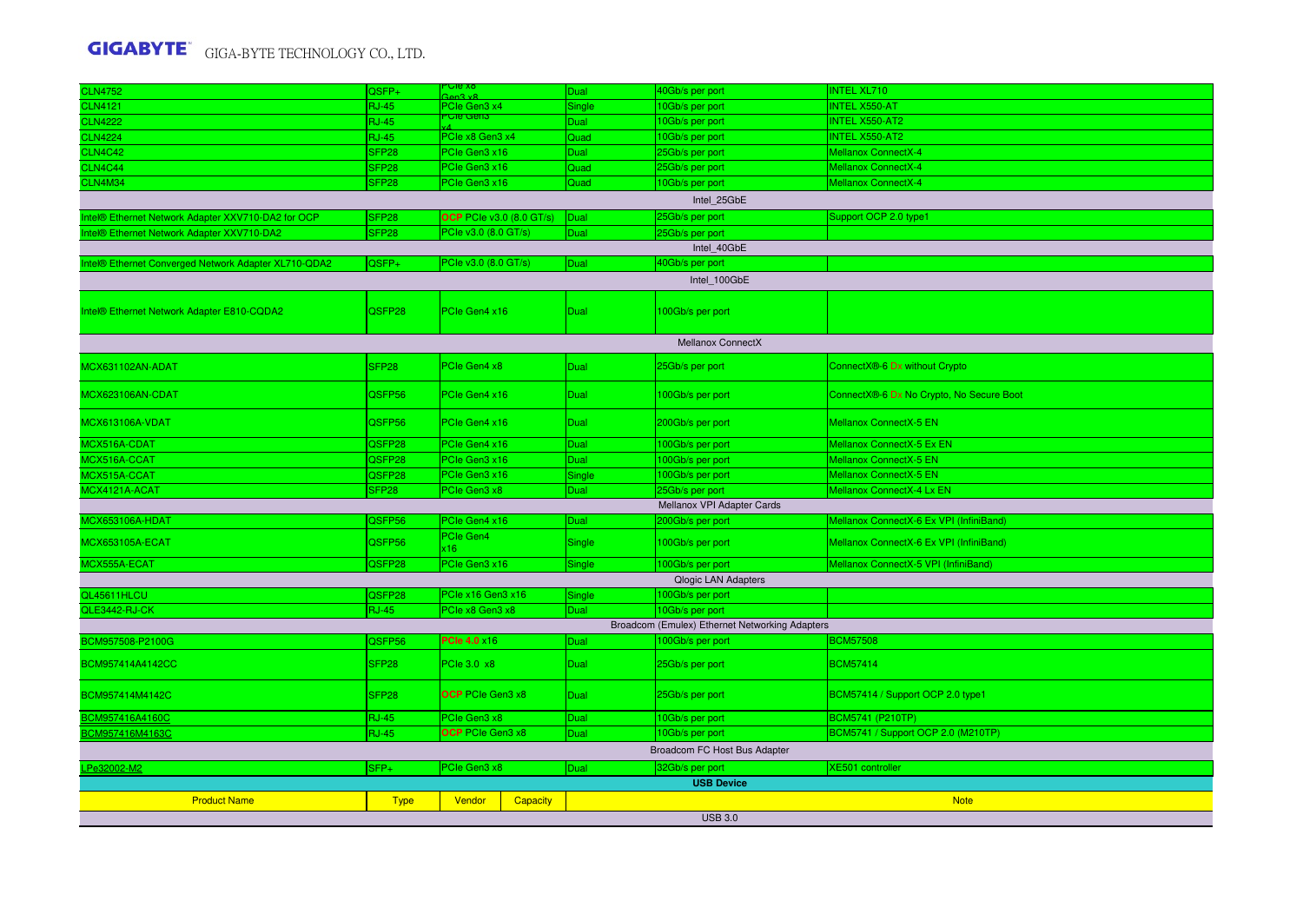| <b>CLN4752</b>                                       | QSFP+             | <u>Ule xo</u><br>tan 3 v        | Dual        | 40Gb/s per port                                | <b>INTEL XL710</b>                         |
|------------------------------------------------------|-------------------|---------------------------------|-------------|------------------------------------------------|--------------------------------------------|
| <b>CLN4121</b>                                       | <b>RJ-45</b>      | PCIe Gen3 x4                    | Single      | 10Gb/s per port                                | <b>INTEL X550-AT</b>                       |
| <b>CLN4222</b>                                       | <b>RJ-45</b>      | <u>ಿರಾರ್ ಇಂಗ</u>                | Dual        | 10Gb/s per port                                | <b>INTEL X550-AT2</b>                      |
| <b>CLN4224</b>                                       | <b>RJ-45</b>      | PCIe x8 Gen3 x4                 | Quad        | 10Gb/s per port                                | <b>INTEL X550-AT2</b>                      |
| <b>CLN4C42</b>                                       | SFP <sub>28</sub> | PCIe Gen3 x16                   | <b>Dual</b> | 25Gb/s per port                                | Mellanox ConnectX-4                        |
| <b>CLN4C44</b>                                       | SFP <sub>28</sub> | PCIe Gen3 x16                   | Quad        | 25Gb/s per port                                | <b>Mellanox ConnectX-4</b>                 |
| CLN4M34                                              | SFP <sub>28</sub> | PCIe Gen3 x16                   | Quad        | 10Gb/s per port                                | <b>Mellanox ConnectX-4</b>                 |
|                                                      |                   |                                 |             | Intel 25GbE                                    |                                            |
| Intel® Ethernet Network Adapter XXV710-DA2 for OCP   | SFP28             | <b>OCP</b> PCIe v3.0 (8.0 GT/s) | Dual        | 25Gb/s per port                                | Support OCP 2.0 type1                      |
| Intel® Ethernet Network Adapter XXV710-DA2           | SFP <sub>28</sub> | PCIe v3.0 (8.0 GT/s)            | Dual        | 25Gb/s per port                                |                                            |
|                                                      |                   |                                 |             | Intel 40GbE                                    |                                            |
| Intel® Ethernet Converged Network Adapter XL710-QDA2 | QSFP+             | PCIe v3.0 (8.0 GT/s)            | Dual        | 40Gb/s per port                                |                                            |
|                                                      |                   |                                 |             | Intel_100GbE                                   |                                            |
|                                                      |                   |                                 |             |                                                |                                            |
| Intel® Ethernet Network Adapter E810-CQDA2           | QSFP28            | PCle Gen4 x16                   | Dual        | 100Gb/s per port                               |                                            |
|                                                      |                   |                                 |             | <b>Mellanox ConnectX</b>                       |                                            |
| MCX631102AN-ADAT                                     | SFP <sub>28</sub> | PCIe Gen4 x8                    | <b>Dual</b> | 25Gb/s per port                                | ConnectX <sup>®</sup> -6 Dx without Crypto |
| MCX623106AN-CDAT                                     | QSFP56            | PCIe Gen4 x16                   | <b>Dual</b> | 100Gb/s per port                               | ConnectX®-6 Dx No Crypto, No Secure Boot   |
| <b>MCX613106A-VDAT</b>                               | QSFP56            | PCIe Gen4 x16                   | Dual        | 200Gb/s per port                               | Mellanox ConnectX-5 EN                     |
| MCX516A-CDAT                                         | QSFP28            | PCIe Gen4 x16                   | Dual        | 100Gb/s per port                               | Mellanox ConnectX-5 Ex EN                  |
| MCX516A-CCAT                                         | QSFP28            | PCIe Gen3 x16                   | Dual        | 100Gb/s per port                               | Mellanox ConnectX-5 EN                     |
| MCX515A-CCAT                                         | QSFP28            | PCle Gen3 x16                   | Single      | 100Gb/s per port                               | Mellanox ConnectX-5 EN                     |
| MCX4121A-ACAT                                        | SFP28             | PCIe Gen3 x8                    | Dual        | 25Gb/s per port                                | Mellanox ConnectX-4 Lx EN                  |
|                                                      |                   |                                 |             | Mellanox VPI Adapter Cards                     |                                            |
| MCX653106A-HDAT                                      | QSFP56            | PCIe Gen4 x16                   | Dual        | 200Gb/s per port                               | Mellanox ConnectX-6 Ex VPI (InfiniBand)    |
| <b>MCX653105A-ECAT</b>                               | QSFP56            | PCIe Gen4<br>x16                | Single      | 100Gb/s per port                               | Mellanox ConnectX-6 Ex VPI (InfiniBand)    |
| MCX555A-ECAT                                         | QSFP28            | PCIe Gen3 x16                   | Single      | 100Gb/s per port                               | Mellanox ConnectX-5 VPI (InfiniBand)       |
|                                                      |                   |                                 |             | <b>Qlogic LAN Adapters</b>                     |                                            |
| QL45611HLCU                                          | QSFP28            | PCle x16 Gen3 x16               | Single      | 100Gb/s per port                               |                                            |
| QLE3442-RJ-CK                                        | <b>RJ-45</b>      | PCIe x8 Gen3 x8                 | Dual        | 10Gb/s per port                                |                                            |
|                                                      |                   |                                 |             | Broadcom (Emulex) Ethernet Networking Adapters |                                            |
| BCM957508-P2100G                                     | QSFP56            | <b>PCIe 4.0 x16</b>             | Dual        | 100Gb/s per port                               | <b>BCM57508</b>                            |
| BCM957414A4142CC                                     | SFP28             | PCIe 3.0 x8                     | Dual        | 25Gb/s per port                                | BCM57414                                   |
| BCM957414M4142C                                      | SFP <sub>28</sub> | <b>OCP</b> PCIe Gen3 x8         | Dual        | 25Gb/s per port                                | BCM57414 / Support OCP 2.0 type1           |
| BCM957416A4160C                                      | <b>RJ-45</b>      | PCIe Gen3 x8                    | Dual        | 10Gb/s per port                                | <b>BCM5741 (P210TP)</b>                    |
| BCM957416M4163C                                      | <b>RJ-45</b>      | <b>OCP</b> PCIe Gen3 x8         | Dual        | 10Gb/s per port                                | BCM5741 / Support OCP 2.0 (M210TP)         |
|                                                      |                   |                                 |             | Broadcom FC Host Bus Adapter                   |                                            |
| LPe32002-M2                                          | SFP+              | PCIe Gen3 x8                    | Dual        | 32Gb/s per port                                | <b>XE501</b> controller                    |
|                                                      |                   |                                 |             | <b>USB Device</b>                              |                                            |
| <b>Product Name</b>                                  | <b>Type</b>       | Vendor<br>Capacity              |             |                                                | <b>Note</b>                                |
|                                                      |                   |                                 |             | <b>USB 3.0</b>                                 |                                            |